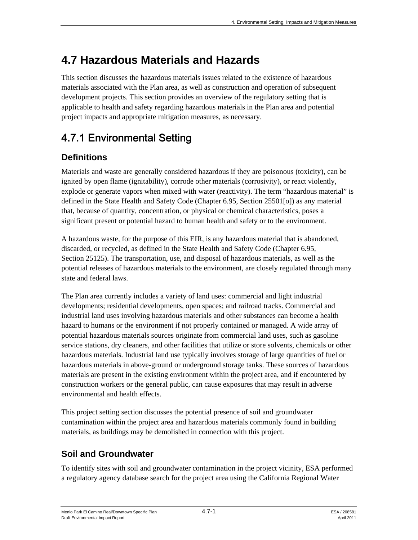This section discusses the hazardous materials issues related to the existence of hazardous materials associated with the Plan area, as well as construction and operation of subsequent development projects. This section provides an overview of the regulatory setting that is applicable to health and safety regarding hazardous materials in the Plan area and potential project impacts and appropriate mitigation measures, as necessary.

# 4.7.1 Environmental Setting

# **Definitions**

Materials and waste are generally considered hazardous if they are poisonous (toxicity), can be ignited by open flame (ignitability), corrode other materials (corrosivity), or react violently, explode or generate vapors when mixed with water (reactivity). The term "hazardous material" is defined in the State Health and Safety Code (Chapter 6.95, Section 25501[o]) as any material that, because of quantity, concentration, or physical or chemical characteristics, poses a significant present or potential hazard to human health and safety or to the environment.

A hazardous waste, for the purpose of this EIR, is any hazardous material that is abandoned, discarded, or recycled, as defined in the State Health and Safety Code (Chapter 6.95, Section 25125). The transportation, use, and disposal of hazardous materials, as well as the potential releases of hazardous materials to the environment, are closely regulated through many state and federal laws.

The Plan area currently includes a variety of land uses: commercial and light industrial developments; residential developments, open spaces; and railroad tracks. Commercial and industrial land uses involving hazardous materials and other substances can become a health hazard to humans or the environment if not properly contained or managed. A wide array of potential hazardous materials sources originate from commercial land uses, such as gasoline service stations, dry cleaners, and other facilities that utilize or store solvents, chemicals or other hazardous materials. Industrial land use typically involves storage of large quantities of fuel or hazardous materials in above-ground or underground storage tanks. These sources of hazardous materials are present in the existing environment within the project area, and if encountered by construction workers or the general public, can cause exposures that may result in adverse environmental and health effects.

This project setting section discusses the potential presence of soil and groundwater contamination within the project area and hazardous materials commonly found in building materials, as buildings may be demolished in connection with this project.

## **Soil and Groundwater**

To identify sites with soil and groundwater contamination in the project vicinity, ESA performed a regulatory agency database search for the project area using the California Regional Water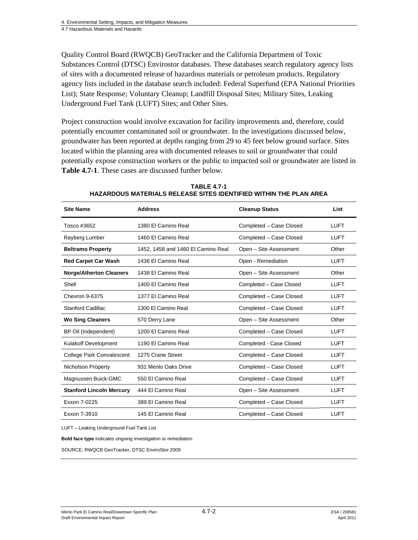Quality Control Board (RWQCB) GeoTracker and the California Department of Toxic Substances Control (DTSC) Envirostor databases. These databases search regulatory agency lists of sites with a documented release of hazardous materials or petroleum products. Regulatory agency lists included in the database search included: Federal Superfund (EPA National Priorities List); State Response; Voluntary Cleanup; Landfill Disposal Sites; Military Sites, Leaking Underground Fuel Tank (LUFT) Sites; and Other Sites.

Project construction would involve excavation for facility improvements and, therefore, could potentially encounter contaminated soil or groundwater. In the investigations discussed below, groundwater has been reported at depths ranging from 29 to 45 feet below ground surface. Sites located within the planning area with documented releases to soil or groundwater that could potentially expose construction workers or the public to impacted soil or groundwater are listed in **Table 4.7-1**. These cases are discussed further below.

| <b>Site Name</b>                 | <b>Address</b>                     | <b>Cleanup Status</b>   | List        |
|----------------------------------|------------------------------------|-------------------------|-------------|
| Tosco #3652                      | 1380 El Camino Real                | Completed - Case Closed | <b>LUFT</b> |
| Rayberg Lumber                   | 1460 El Camino Real                | Completed - Case Closed | LUFT        |
| <b>Beltramo Property</b>         | 1452, 1458 and 1460 El Camino Real | Open - Site Assessment  | Other       |
| <b>Red Carpet Car Wash</b>       | 1436 El Camino Real                | Open - Remediation      | <b>LUFT</b> |
| <b>Norge/Atherton Cleaners</b>   | 1438 El Camino Real                | Open - Site Assessment  | Other       |
| Shell                            | 1400 El Camino Real                | Completed - Case Closed | <b>LUFT</b> |
| Chevron 9-6375                   | 1377 El Camino Real                | Completed - Case Closed | <b>LUFT</b> |
| <b>Stanford Cadillac</b>         | 1300 El Camino Real                | Completed - Case Closed | LUFT        |
| <b>Wo Sing Cleaners</b>          | 570 Derry Lane                     | Open - Site Assessment  | Other       |
| BP Oil (Independent)             | 1200 El Camino Real                | Completed - Case Closed | <b>LUFT</b> |
| <b>Kulakoff Development</b>      | 1190 El Camino Real                | Completed - Case Closed | <b>LUFT</b> |
| <b>College Park Convalescent</b> | 1275 Crane Street                  | Completed - Case Closed | <b>LUFT</b> |
| Nicholson Property               | 931 Menlo Oaks Drive               | Completed - Case Closed | <b>LUFT</b> |
| Magnussen Buick-GMC              | 550 El Camino Real                 | Completed - Case Closed | <b>LUFT</b> |
| <b>Stanford Lincoln Mercury</b>  | 444 El Camino Real                 | Open - Site Assessment  | <b>LUFT</b> |
| Exxon 7-0225                     | 389 El Camino Real                 | Completed - Case Closed | <b>LUFT</b> |
| Exxon 7-3910                     | 145 El Camino Real                 | Completed - Case Closed | LUFT        |

**TABLE 4.7-1 HAZARDOUS MATERIALS RELEASE SITES IDENTIFIED WITHIN THE PLAN AREA** 

LUFT – Leaking Underground Fuel Tank List

**Bold face type** indicates ongoing investigation or remediation

SOURCE: RWQCB GeoTracker, DTSC EnviroStor 2009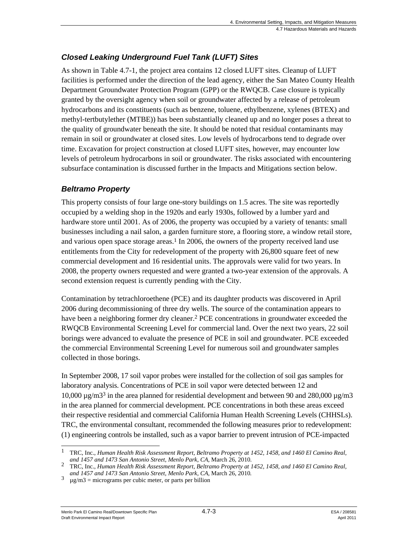## *Closed Leaking Underground Fuel Tank (LUFT) Sites*

As shown in Table 4.7-1, the project area contains 12 closed LUFT sites. Cleanup of LUFT facilities is performed under the direction of the lead agency, either the San Mateo County Health Department Groundwater Protection Program (GPP) or the RWQCB. Case closure is typically granted by the oversight agency when soil or groundwater affected by a release of petroleum hydrocarbons and its constituents (such as benzene, toluene, ethylbenzene, xylenes (BTEX) and methyl-tertbutylether (MTBE)) has been substantially cleaned up and no longer poses a threat to the quality of groundwater beneath the site. It should be noted that residual contaminants may remain in soil or groundwater at closed sites. Low levels of hydrocarbons tend to degrade over time. Excavation for project construction at closed LUFT sites, however, may encounter low levels of petroleum hydrocarbons in soil or groundwater. The risks associated with encountering subsurface contamination is discussed further in the Impacts and Mitigations section below.

## *Beltramo Property*

This property consists of four large one-story buildings on 1.5 acres. The site was reportedly occupied by a welding shop in the 1920s and early 1930s, followed by a lumber yard and hardware store until 2001. As of 2006, the property was occupied by a variety of tenants: small businesses including a nail salon, a garden furniture store, a flooring store, a window retail store, and various open space storage areas.1 In 2006, the owners of the property received land use entitlements from the City for redevelopment of the property with 26,800 square feet of new commercial development and 16 residential units. The approvals were valid for two years. In 2008, the property owners requested and were granted a two-year extension of the approvals. A second extension request is currently pending with the City.

Contamination by tetrachloroethene (PCE) and its daughter products was discovered in April 2006 during decommissioning of three dry wells. The source of the contamination appears to have been a neighboring former dry cleaner.<sup>2</sup> PCE concentrations in groundwater exceeded the RWQCB Environmental Screening Level for commercial land. Over the next two years, 22 soil borings were advanced to evaluate the presence of PCE in soil and groundwater. PCE exceeded the commercial Environmental Screening Level for numerous soil and groundwater samples collected in those borings.

In September 2008, 17 soil vapor probes were installed for the collection of soil gas samples for laboratory analysis. Concentrations of PCE in soil vapor were detected between 12 and 10,000  $\mu$ g/m3<sup>3</sup> in the area planned for residential development and between 90 and 280,000  $\mu$ g/m3 in the area planned for commercial development. PCE concentrations in both these areas exceed their respective residential and commercial California Human Health Screening Levels (CHHSLs). TRC, the environmental consultant, recommended the following measures prior to redevelopment: (1) engineering controls be installed, such as a vapor barrier to prevent intrusion of PCE-impacted

Menlo Park El Camino Real/Downtown Specific Plan 4.7-3 Alexander 208581 Draft Environmental Impact Report April 2011

l 1 TRC, Inc., *Human Health Risk Assessment Report, Beltramo Property at 1452, 1458, and 1460 El Camino Real, and 1457 and 1473 San Antonio Street, Menlo Park, CA,* March 26, 2010.

<sup>2</sup> TRC, Inc., *Human Health Risk Assessment Report, Beltramo Property at 1452, 1458, and 1460 El Camino Real,* 

 $a^3 \mu g/m3 = \text{micrograms per cubic meter, or parts per billion.}$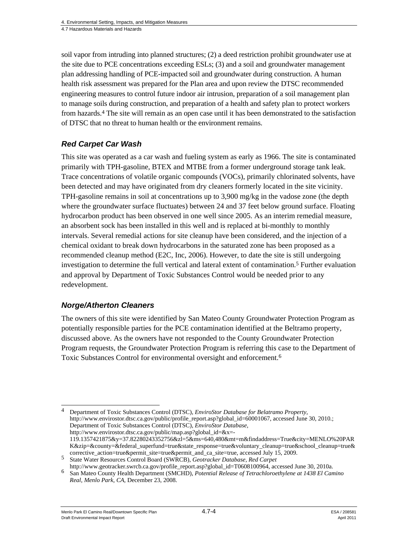soil vapor from intruding into planned structures; (2) a deed restriction prohibit groundwater use at the site due to PCE concentrations exceeding ESLs; (3) and a soil and groundwater management plan addressing handling of PCE-impacted soil and groundwater during construction. A human health risk assessment was prepared for the Plan area and upon review the DTSC recommended engineering measures to control future indoor air intrusion, preparation of a soil management plan to manage soils during construction, and preparation of a health and safety plan to protect workers from hazards.4 The site will remain as an open case until it has been demonstrated to the satisfaction of DTSC that no threat to human health or the environment remains.

#### *Red Carpet Car Wash*

This site was operated as a car wash and fueling system as early as 1966. The site is contaminated primarily with TPH-gasoline, BTEX and MTBE from a former underground storage tank leak. Trace concentrations of volatile organic compounds (VOCs), primarily chlorinated solvents, have been detected and may have originated from dry cleaners formerly located in the site vicinity. TPH-gasoline remains in soil at concentrations up to 3,900 mg/kg in the vadose zone (the depth where the groundwater surface fluctuates) between 24 and 37 feet below ground surface. Floating hydrocarbon product has been observed in one well since 2005. As an interim remedial measure, an absorbent sock has been installed in this well and is replaced at bi-monthly to monthly intervals. Several remedial actions for site cleanup have been considered, and the injection of a chemical oxidant to break down hydrocarbons in the saturated zone has been proposed as a recommended cleanup method (E2C, Inc, 2006). However, to date the site is still undergoing investigation to determine the full vertical and lateral extent of contamination.5 Further evaluation and approval by Department of Toxic Substances Control would be needed prior to any redevelopment.

#### *Norge/Atherton Cleaners*

The owners of this site were identified by San Mateo County Groundwater Protection Program as potentially responsible parties for the PCE contamination identified at the Beltramo property, discussed above. As the owners have not responded to the County Groundwater Protection Program requests, the Groundwater Protection Program is referring this case to the Department of Toxic Substances Control for environmental oversight and enforcement.6

1 4 Department of Toxic Substances Control (DTSC), *EnviroStor Database for Belatramo Property,* http://www.envirostor.dtsc.ca.gov/public/profile\_report.asp?global\_id=60001067, accessed June 30, 2010.; Department of Toxic Substances Control (DTSC), *EnviroStor Database,*  http://www.envirostor.dtsc.ca.gov/public/map.asp?global\_id=&x=- 119.1357421875&y=37.82280243352756&zl=5&ms=640,480&mt=m&findaddress=True&city=MENLO%20PAR K&zip=&county=&federal\_superfund=true&state\_response=true&voluntary\_cleanup=true&school\_cleanup=true&

corrective\_action=true&permit\_site=true&permit\_and\_ca\_site=true, accessed July 15, 2009. <sup>5</sup> State Water Resources Control Board (SWRCB), *Geotracker Database, Red Carpet*  http://www.geotracker.swrcb.ca.gov/profile\_report.asp?global\_id=T0608100964*,* accessed June 30, 2010a.

<sup>6</sup> San Mateo County Health Department (SMCHD), *Potential Release of Tetrachloroethylene at 1438 El Camino Real, Menlo Park, CA,* December 23, 2008.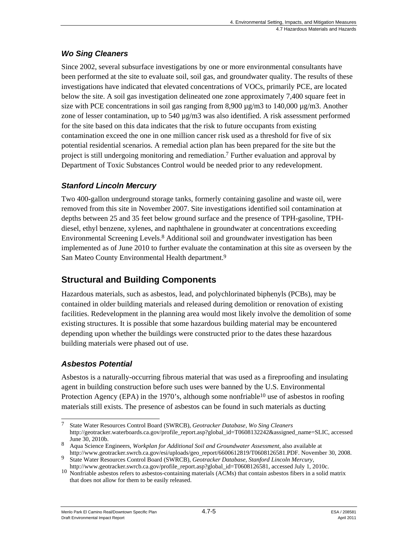## *Wo Sing Cleaners*

Since 2002, several subsurface investigations by one or more environmental consultants have been performed at the site to evaluate soil, soil gas, and groundwater quality. The results of these investigations have indicated that elevated concentrations of VOCs, primarily PCE, are located below the site. A soil gas investigation delineated one zone approximately 7,400 square feet in size with PCE concentrations in soil gas ranging from  $8,900 \mu g/m3$  to  $140,000 \mu g/m3$ . Another zone of lesser contamination, up to  $540 \mu g/m3$  was also identified. A risk assessment performed for the site based on this data indicates that the risk to future occupants from existing contamination exceed the one in one million cancer risk used as a threshold for five of six potential residential scenarios. A remedial action plan has been prepared for the site but the project is still undergoing monitoring and remediation.7 Further evaluation and approval by Department of Toxic Substances Control would be needed prior to any redevelopment.

## *Stanford Lincoln Mercury*

Two 400-gallon underground storage tanks, formerly containing gasoline and waste oil, were removed from this site in November 2007. Site investigations identified soil contamination at depths between 25 and 35 feet below ground surface and the presence of TPH-gasoline, TPHdiesel, ethyl benzene, xylenes, and naphthalene in groundwater at concentrations exceeding Environmental Screening Levels.8 Additional soil and groundwater investigation has been implemented as of June 2010 to further evaluate the contamination at this site as overseen by the San Mateo County Environmental Health department.9

## **Structural and Building Components**

Hazardous materials, such as asbestos, lead, and polychlorinated biphenyls (PCBs), may be contained in older building materials and released during demolition or renovation of existing facilities. Redevelopment in the planning area would most likely involve the demolition of some existing structures. It is possible that some hazardous building material may be encountered depending upon whether the buildings were constructed prior to the dates these hazardous building materials were phased out of use.

## *Asbestos Potential*

Asbestos is a naturally-occurring fibrous material that was used as a fireproofing and insulating agent in building construction before such uses were banned by the U.S. Environmental Protection Agency (EPA) in the 1970's, although some nonfriable<sup>10</sup> use of asbestos in roofing materials still exists. The presence of asbestos can be found in such materials as ducting

 $\overline{7}$ 7 State Water Resources Control Board (SWRCB), *Geotracker Database, Wo Sing Cleaners*  http://geotracker.waterboards.ca.gov/profile\_report.asp?global\_id=T0608132242&assigned\_name=SLIC*,* accessed June 30, 2010b.

<sup>8</sup> Aqua Science Engineers, *Workplan for Additional Soil and Groundwater Assessment*, also available at http://www.geotracker.swrcb.ca.gov/esi/uploads/geo\_report/6600612819/T0608126581.PDF. November 30, 2008.

<sup>9</sup> State Water Resources Control Board (SWRCB), *Geotracker Database, Stanford Lincoln Mercury,*<br>http://www.geotracker.swrcb.ca.gov/profile\_report.asp?global\_id=T0608126581, accessed July 1, 2010c.

 $\frac{10 \text{ Nonfriable}}{1000}$  Nonfriable asbestos refers to asbestos-containing materials (ACMs) that contain asbestos fibers in a solid matrix that does not allow for them to be easily released.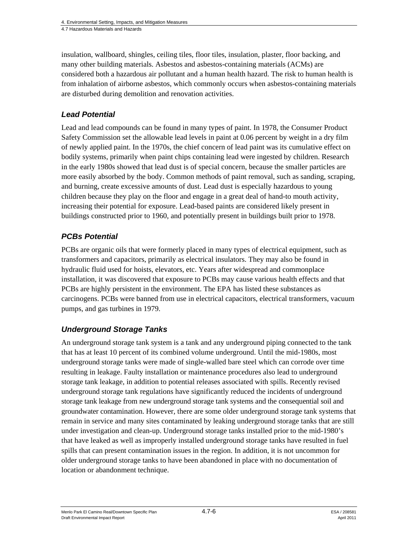insulation, wallboard, shingles, ceiling tiles, floor tiles, insulation, plaster, floor backing, and many other building materials. Asbestos and asbestos-containing materials (ACMs) are considered both a hazardous air pollutant and a human health hazard. The risk to human health is from inhalation of airborne asbestos, which commonly occurs when asbestos-containing materials are disturbed during demolition and renovation activities.

#### *Lead Potential*

Lead and lead compounds can be found in many types of paint. In 1978, the Consumer Product Safety Commission set the allowable lead levels in paint at 0.06 percent by weight in a dry film of newly applied paint. In the 1970s, the chief concern of lead paint was its cumulative effect on bodily systems, primarily when paint chips containing lead were ingested by children. Research in the early 1980s showed that lead dust is of special concern, because the smaller particles are more easily absorbed by the body. Common methods of paint removal, such as sanding, scraping, and burning, create excessive amounts of dust. Lead dust is especially hazardous to young children because they play on the floor and engage in a great deal of hand-to mouth activity, increasing their potential for exposure. Lead-based paints are considered likely present in buildings constructed prior to 1960, and potentially present in buildings built prior to 1978.

#### *PCBs Potential*

PCBs are organic oils that were formerly placed in many types of electrical equipment, such as transformers and capacitors, primarily as electrical insulators. They may also be found in hydraulic fluid used for hoists, elevators, etc. Years after widespread and commonplace installation, it was discovered that exposure to PCBs may cause various health effects and that PCBs are highly persistent in the environment. The EPA has listed these substances as carcinogens. PCBs were banned from use in electrical capacitors, electrical transformers, vacuum pumps, and gas turbines in 1979.

#### *Underground Storage Tanks*

An underground storage tank system is a tank and any underground piping connected to the tank that has at least 10 percent of its combined volume underground. Until the mid-1980s, most underground storage tanks were made of single-walled bare steel which can corrode over time resulting in leakage. Faulty installation or maintenance procedures also lead to underground storage tank leakage, in addition to potential releases associated with spills. Recently revised underground storage tank regulations have significantly reduced the incidents of underground storage tank leakage from new underground storage tank systems and the consequential soil and groundwater contamination. However, there are some older underground storage tank systems that remain in service and many sites contaminated by leaking underground storage tanks that are still under investigation and clean-up. Underground storage tanks installed prior to the mid-1980's that have leaked as well as improperly installed underground storage tanks have resulted in fuel spills that can present contamination issues in the region. In addition, it is not uncommon for older underground storage tanks to have been abandoned in place with no documentation of location or abandonment technique.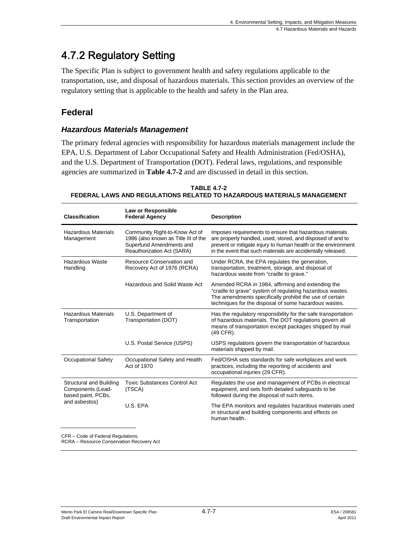# 4.7.2 Regulatory Setting

The Specific Plan is subject to government health and safety regulations applicable to the transportation, use, and disposal of hazardous materials. This section provides an overview of the regulatory setting that is applicable to the health and safety in the Plan area.

## **Federal**

#### *Hazardous Materials Management*

The primary federal agencies with responsibility for hazardous materials management include the EPA, U.S. Department of Labor Occupational Safety and Health Administration (Fed/OSHA), and the U.S. Department of Transportation (DOT). Federal laws, regulations, and responsible agencies are summarized in **Table 4.7-2** and are discussed in detail in this section.

| <b>Classification</b>                                                                                                                                                                                                                                                                                                                                                                                                                                                                                                                                                                                                                   | Law or Responsible<br><b>Federal Agency</b>                                                                                      | <b>Description</b>                                                                                                                                                                                                                                    |  |  |
|-----------------------------------------------------------------------------------------------------------------------------------------------------------------------------------------------------------------------------------------------------------------------------------------------------------------------------------------------------------------------------------------------------------------------------------------------------------------------------------------------------------------------------------------------------------------------------------------------------------------------------------------|----------------------------------------------------------------------------------------------------------------------------------|-------------------------------------------------------------------------------------------------------------------------------------------------------------------------------------------------------------------------------------------------------|--|--|
| <b>Hazardous Materials</b><br>Management                                                                                                                                                                                                                                                                                                                                                                                                                                                                                                                                                                                                | Community Right-to-Know Act of<br>1986 (also known as Title III of the<br>Superfund Amendments and<br>Reauthorization Act (SARA) | Imposes requirements to ensure that hazardous materials<br>are properly handled, used, stored, and disposed of and to<br>prevent or mitigate injury to human health or the environment<br>in the event that such materials are accidentally released. |  |  |
| Hazardous Waste<br>Handling                                                                                                                                                                                                                                                                                                                                                                                                                                                                                                                                                                                                             | Resource Conservation and<br>Recovery Act of 1976 (RCRA)                                                                         | Under RCRA, the EPA regulates the generation,<br>transportation, treatment, storage, and disposal of<br>hazardous waste from "cradle to grave."                                                                                                       |  |  |
|                                                                                                                                                                                                                                                                                                                                                                                                                                                                                                                                                                                                                                         | Hazardous and Solid Waste Act                                                                                                    | Amended RCRA in 1984, affirming and extending the<br>"cradle to grave" system of regulating hazardous wastes.<br>The amendments specifically prohibit the use of certain<br>techniques for the disposal of some hazardous wastes.                     |  |  |
| <b>Hazardous Materials</b><br>Transportation                                                                                                                                                                                                                                                                                                                                                                                                                                                                                                                                                                                            | U.S. Department of<br>Transportation (DOT)                                                                                       | Has the regulatory responsibility for the safe transportation<br>of hazardous materials. The DOT regulations govern all<br>means of transportation except packages shipped by mail<br>(49 CFR).                                                       |  |  |
|                                                                                                                                                                                                                                                                                                                                                                                                                                                                                                                                                                                                                                         | U.S. Postal Service (USPS)                                                                                                       | USPS regulations govern the transportation of hazardous<br>materials shipped by mail.                                                                                                                                                                 |  |  |
| <b>Occupational Safety</b>                                                                                                                                                                                                                                                                                                                                                                                                                                                                                                                                                                                                              | Occupational Safety and Health<br>Act of 1970                                                                                    | Fed/OSHA sets standards for safe workplaces and work<br>practices, including the reporting of accidents and<br>occupational injuries (29 CFR).                                                                                                        |  |  |
| Structural and Building<br>Components (Lead-<br>based paint, PCBs,<br>and asbestos)                                                                                                                                                                                                                                                                                                                                                                                                                                                                                                                                                     | <b>Toxic Substances Control Act</b><br>(TSCA)                                                                                    | Regulates the use and management of PCBs in electrical<br>equipment, and sets forth detailed safeguards to be<br>followed during the disposal of such items.                                                                                          |  |  |
|                                                                                                                                                                                                                                                                                                                                                                                                                                                                                                                                                                                                                                         | U.S. EPA                                                                                                                         | The EPA monitors and regulates hazardous materials used<br>in structural and building components and effects on<br>human health.                                                                                                                      |  |  |
| $O = \text{diag} \times \text{diag} \times \text{diag} \times \text{diag} \times \text{diag} \times \text{diag} \times \text{diag} \times \text{diag} \times \text{diag} \times \text{diag} \times \text{diag} \times \text{diag} \times \text{diag} \times \text{diag} \times \text{diag} \times \text{diag} \times \text{diag} \times \text{diag} \times \text{diag} \times \text{diag} \times \text{diag} \times \text{diag} \times \text{diag} \times \text{diag} \times \text{diag} \times \text{diag} \times \text{diag} \times \text{diag} \times \text{diag} \times \text{diag} \times \text{diag} \times \$<br>$\sim$ n $\sim$ |                                                                                                                                  |                                                                                                                                                                                                                                                       |  |  |

| <b>TABLE 4.7-2</b>                                                     |
|------------------------------------------------------------------------|
| FEDERAL LAWS AND REGULATIONS RELATED TO HAZARDOUS MATERIALS MANAGEMENT |

CFR – Code of Federal Regulations.

RCRA – Resource Conservation Recovery Act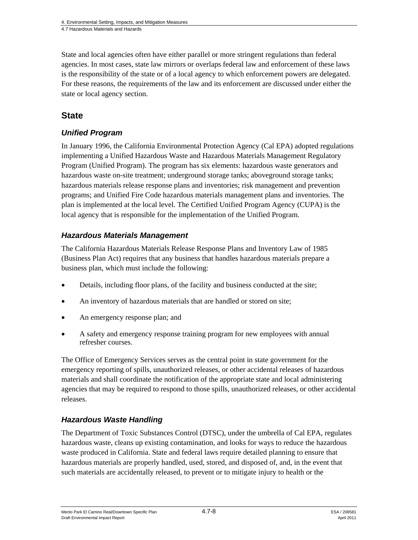State and local agencies often have either parallel or more stringent regulations than federal agencies. In most cases, state law mirrors or overlaps federal law and enforcement of these laws is the responsibility of the state or of a local agency to which enforcement powers are delegated. For these reasons, the requirements of the law and its enforcement are discussed under either the state or local agency section.

## **State**

#### *Unified Program*

In January 1996, the California Environmental Protection Agency (Cal EPA) adopted regulations implementing a Unified Hazardous Waste and Hazardous Materials Management Regulatory Program (Unified Program). The program has six elements: hazardous waste generators and hazardous waste on-site treatment; underground storage tanks; aboveground storage tanks; hazardous materials release response plans and inventories; risk management and prevention programs; and Unified Fire Code hazardous materials management plans and inventories. The plan is implemented at the local level. The Certified Unified Program Agency (CUPA) is the local agency that is responsible for the implementation of the Unified Program.

#### *Hazardous Materials Management*

The California Hazardous Materials Release Response Plans and Inventory Law of 1985 (Business Plan Act) requires that any business that handles hazardous materials prepare a business plan, which must include the following:

- Details, including floor plans, of the facility and business conducted at the site;
- An inventory of hazardous materials that are handled or stored on site;
- An emergency response plan; and
- A safety and emergency response training program for new employees with annual refresher courses.

The Office of Emergency Services serves as the central point in state government for the emergency reporting of spills, unauthorized releases, or other accidental releases of hazardous materials and shall coordinate the notification of the appropriate state and local administering agencies that may be required to respond to those spills, unauthorized releases, or other accidental releases.

## *Hazardous Waste Handling*

The Department of Toxic Substances Control (DTSC), under the umbrella of Cal EPA, regulates hazardous waste, cleans up existing contamination, and looks for ways to reduce the hazardous waste produced in California. State and federal laws require detailed planning to ensure that hazardous materials are properly handled, used, stored, and disposed of, and, in the event that such materials are accidentally released, to prevent or to mitigate injury to health or the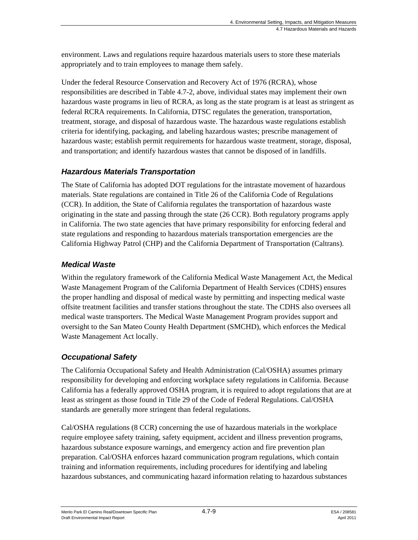environment. Laws and regulations require hazardous materials users to store these materials appropriately and to train employees to manage them safely.

Under the federal Resource Conservation and Recovery Act of 1976 (RCRA), whose responsibilities are described in Table 4.7-2, above, individual states may implement their own hazardous waste programs in lieu of RCRA, as long as the state program is at least as stringent as federal RCRA requirements. In California, DTSC regulates the generation, transportation, treatment, storage, and disposal of hazardous waste. The hazardous waste regulations establish criteria for identifying, packaging, and labeling hazardous wastes; prescribe management of hazardous waste; establish permit requirements for hazardous waste treatment, storage, disposal, and transportation; and identify hazardous wastes that cannot be disposed of in landfills.

## *Hazardous Materials Transportation*

The State of California has adopted DOT regulations for the intrastate movement of hazardous materials. State regulations are contained in Title 26 of the California Code of Regulations (CCR). In addition, the State of California regulates the transportation of hazardous waste originating in the state and passing through the state (26 CCR). Both regulatory programs apply in California. The two state agencies that have primary responsibility for enforcing federal and state regulations and responding to hazardous materials transportation emergencies are the California Highway Patrol (CHP) and the California Department of Transportation (Caltrans).

## *Medical Waste*

Within the regulatory framework of the California Medical Waste Management Act, the Medical Waste Management Program of the California Department of Health Services (CDHS) ensures the proper handling and disposal of medical waste by permitting and inspecting medical waste offsite treatment facilities and transfer stations throughout the state. The CDHS also oversees all medical waste transporters. The Medical Waste Management Program provides support and oversight to the San Mateo County Health Department (SMCHD), which enforces the Medical Waste Management Act locally.

## *Occupational Safety*

The California Occupational Safety and Health Administration (Cal/OSHA) assumes primary responsibility for developing and enforcing workplace safety regulations in California. Because California has a federally approved OSHA program, it is required to adopt regulations that are at least as stringent as those found in Title 29 of the Code of Federal Regulations. Cal/OSHA standards are generally more stringent than federal regulations.

Cal/OSHA regulations (8 CCR) concerning the use of hazardous materials in the workplace require employee safety training, safety equipment, accident and illness prevention programs, hazardous substance exposure warnings, and emergency action and fire prevention plan preparation. Cal/OSHA enforces hazard communication program regulations, which contain training and information requirements, including procedures for identifying and labeling hazardous substances, and communicating hazard information relating to hazardous substances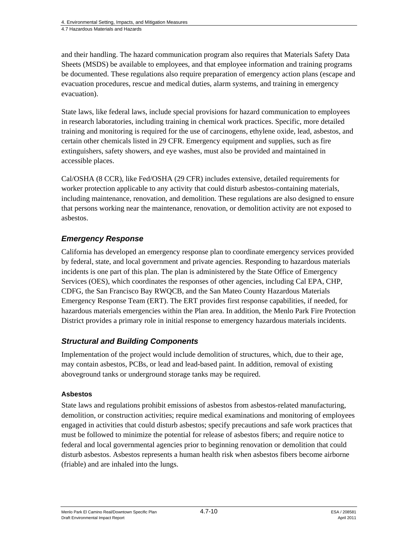and their handling. The hazard communication program also requires that Materials Safety Data Sheets (MSDS) be available to employees, and that employee information and training programs be documented. These regulations also require preparation of emergency action plans (escape and evacuation procedures, rescue and medical duties, alarm systems, and training in emergency evacuation).

State laws, like federal laws, include special provisions for hazard communication to employees in research laboratories, including training in chemical work practices. Specific, more detailed training and monitoring is required for the use of carcinogens, ethylene oxide, lead, asbestos, and certain other chemicals listed in 29 CFR. Emergency equipment and supplies, such as fire extinguishers, safety showers, and eye washes, must also be provided and maintained in accessible places.

Cal/OSHA (8 CCR), like Fed/OSHA (29 CFR) includes extensive, detailed requirements for worker protection applicable to any activity that could disturb asbestos-containing materials, including maintenance, renovation, and demolition. These regulations are also designed to ensure that persons working near the maintenance, renovation, or demolition activity are not exposed to asbestos.

## *Emergency Response*

California has developed an emergency response plan to coordinate emergency services provided by federal, state, and local government and private agencies. Responding to hazardous materials incidents is one part of this plan. The plan is administered by the State Office of Emergency Services (OES), which coordinates the responses of other agencies, including Cal EPA, CHP, CDFG, the San Francisco Bay RWQCB, and the San Mateo County Hazardous Materials Emergency Response Team (ERT). The ERT provides first response capabilities, if needed, for hazardous materials emergencies within the Plan area. In addition, the Menlo Park Fire Protection District provides a primary role in initial response to emergency hazardous materials incidents.

#### *Structural and Building Components*

Implementation of the project would include demolition of structures, which, due to their age, may contain asbestos, PCBs, or lead and lead-based paint. In addition, removal of existing aboveground tanks or underground storage tanks may be required.

#### **Asbestos**

State laws and regulations prohibit emissions of asbestos from asbestos-related manufacturing, demolition, or construction activities; require medical examinations and monitoring of employees engaged in activities that could disturb asbestos; specify precautions and safe work practices that must be followed to minimize the potential for release of asbestos fibers; and require notice to federal and local governmental agencies prior to beginning renovation or demolition that could disturb asbestos. Asbestos represents a human health risk when asbestos fibers become airborne (friable) and are inhaled into the lungs.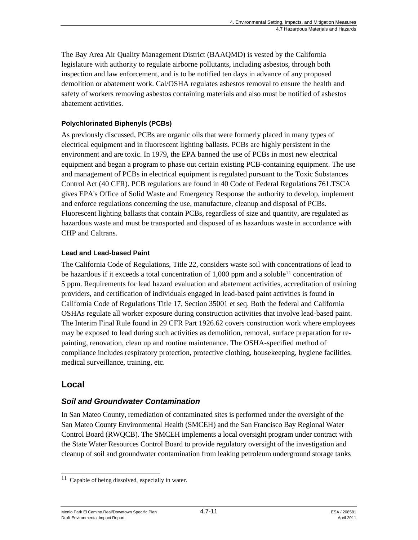The Bay Area Air Quality Management District (BAAQMD) is vested by the California legislature with authority to regulate airborne pollutants, including asbestos, through both inspection and law enforcement, and is to be notified ten days in advance of any proposed demolition or abatement work. Cal/OSHA regulates asbestos removal to ensure the health and safety of workers removing asbestos containing materials and also must be notified of asbestos abatement activities.

#### **Polychlorinated Biphenyls (PCBs)**

As previously discussed, PCBs are organic oils that were formerly placed in many types of electrical equipment and in fluorescent lighting ballasts. PCBs are highly persistent in the environment and are toxic. In 1979, the EPA banned the use of PCBs in most new electrical equipment and began a program to phase out certain existing PCB-containing equipment. The use and management of PCBs in electrical equipment is regulated pursuant to the Toxic Substances Control Act (40 CFR). PCB regulations are found in 40 Code of Federal Regulations 761.TSCA gives EPA's Office of Solid Waste and Emergency Response the authority to develop, implement and enforce regulations concerning the use, manufacture, cleanup and disposal of PCBs. Fluorescent lighting ballasts that contain PCBs, regardless of size and quantity, are regulated as hazardous waste and must be transported and disposed of as hazardous waste in accordance with CHP and Caltrans.

#### **Lead and Lead-based Paint**

The California Code of Regulations, Title 22, considers waste soil with concentrations of lead to be hazardous if it exceeds a total concentration of  $1,000$  ppm and a soluble<sup>11</sup> concentration of 5 ppm. Requirements for lead hazard evaluation and abatement activities, accreditation of training providers, and certification of individuals engaged in lead-based paint activities is found in California Code of Regulations Title 17, Section 35001 et seq. Both the federal and California OSHAs regulate all worker exposure during construction activities that involve lead-based paint. The Interim Final Rule found in 29 CFR Part 1926.62 covers construction work where employees may be exposed to lead during such activities as demolition, removal, surface preparation for repainting, renovation, clean up and routine maintenance. The OSHA-specified method of compliance includes respiratory protection, protective clothing, housekeeping, hygiene facilities, medical surveillance, training, etc.

## **Local**

## *Soil and Groundwater Contamination*

In San Mateo County, remediation of contaminated sites is performed under the oversight of the San Mateo County Environmental Health (SMCEH) and the San Francisco Bay Regional Water Control Board (RWQCB). The SMCEH implements a local oversight program under contract with the State Water Resources Control Board to provide regulatory oversight of the investigation and cleanup of soil and groundwater contamination from leaking petroleum underground storage tanks

l  $11$  Capable of being dissolved, especially in water.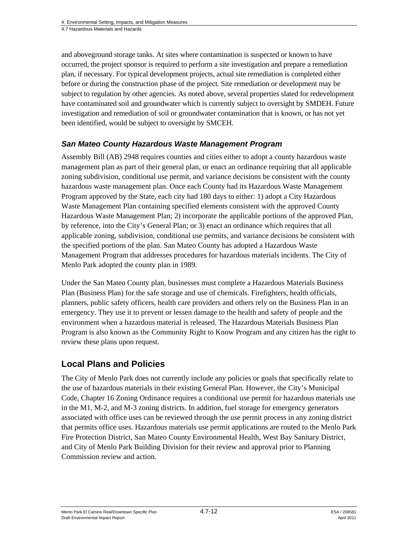and aboveground storage tanks. At sites where contamination is suspected or known to have occurred, the project sponsor is required to perform a site investigation and prepare a remediation plan, if necessary. For typical development projects, actual site remediation is completed either before or during the construction phase of the project. Site remediation or development may be subject to regulation by other agencies. As noted above, several properties slated for redevelopment have contaminated soil and groundwater which is currently subject to oversight by SMDEH. Future investigation and remediation of soil or groundwater contamination that is known, or has not yet been identified, would be subject to oversight by SMCEH.

#### *San Mateo County Hazardous Waste Management Program*

Assembly Bill (AB) 2948 requires counties and cities either to adopt a county hazardous waste management plan as part of their general plan, or enact an ordinance requiring that all applicable zoning subdivision, conditional use permit, and variance decisions be consistent with the county hazardous waste management plan. Once each County had its Hazardous Waste Management Program approved by the State, each city had 180 days to either: 1) adopt a City Hazardous Waste Management Plan containing specified elements consistent with the approved County Hazardous Waste Management Plan; 2) incorporate the applicable portions of the approved Plan, by reference, into the City's General Plan; or 3) enact an ordinance which requires that all applicable zoning, subdivision, conditional use permits, and variance decisions be consistent with the specified portions of the plan. San Mateo County has adopted a Hazardous Waste Management Program that addresses procedures for hazardous materials incidents. The City of Menlo Park adopted the county plan in 1989.

Under the San Mateo County plan, businesses must complete a Hazardous Materials Business Plan (Business Plan) for the safe storage and use of chemicals. Firefighters, health officials, planners, public safety officers, health care providers and others rely on the Business Plan in an emergency. They use it to prevent or lessen damage to the health and safety of people and the environment when a hazardous material is released. The Hazardous Materials Business Plan Program is also known as the Community Right to Know Program and any citizen has the right to review these plans upon request.

## **Local Plans and Policies**

The City of Menlo Park does not currently include any policies or goals that specifically relate to the use of hazardous materials in their existing General Plan. However, the City's Municipal Code, Chapter 16 Zoning Ordinance requires a conditional use permit for hazardous materials use in the M1, M-2, and M-3 zoning districts. In addition, fuel storage for emergency generators associated with office uses can be reviewed through the use permit process in any zoning district that permits office uses. Hazardous materials use permit applications are routed to the Menlo Park Fire Protection District, San Mateo County Environmental Health, West Bay Sanitary District, and City of Menlo Park Building Division for their review and approval prior to Planning Commission review and action.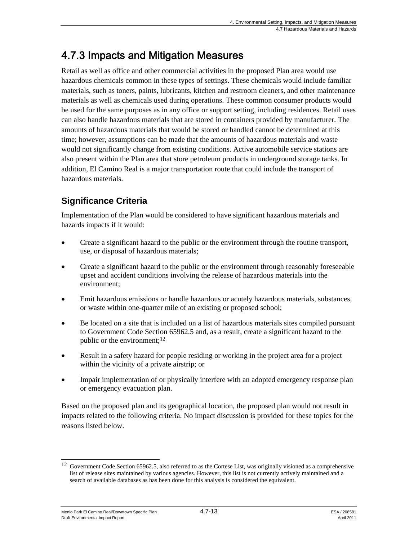# 4.7.3 Impacts and Mitigation Measures

Retail as well as office and other commercial activities in the proposed Plan area would use hazardous chemicals common in these types of settings. These chemicals would include familiar materials, such as toners, paints, lubricants, kitchen and restroom cleaners, and other maintenance materials as well as chemicals used during operations. These common consumer products would be used for the same purposes as in any office or support setting, including residences. Retail uses can also handle hazardous materials that are stored in containers provided by manufacturer. The amounts of hazardous materials that would be stored or handled cannot be determined at this time; however, assumptions can be made that the amounts of hazardous materials and waste would not significantly change from existing conditions. Active automobile service stations are also present within the Plan area that store petroleum products in underground storage tanks. In addition, El Camino Real is a major transportation route that could include the transport of hazardous materials.

# **Significance Criteria**

Implementation of the Plan would be considered to have significant hazardous materials and hazards impacts if it would:

- Create a significant hazard to the public or the environment through the routine transport, use, or disposal of hazardous materials;
- Create a significant hazard to the public or the environment through reasonably foreseeable upset and accident conditions involving the release of hazardous materials into the environment;
- Emit hazardous emissions or handle hazardous or acutely hazardous materials, substances, or waste within one-quarter mile of an existing or proposed school;
- Be located on a site that is included on a list of hazardous materials sites compiled pursuant to Government Code Section 65962.5 and, as a result, create a significant hazard to the public or the environment; $^{12}$
- Result in a safety hazard for people residing or working in the project area for a project within the vicinity of a private airstrip; or
- Impair implementation of or physically interfere with an adopted emergency response plan or emergency evacuation plan.

Based on the proposed plan and its geographical location, the proposed plan would not result in impacts related to the following criteria. No impact discussion is provided for these topics for the reasons listed below.

Menlo Park El Camino Real/Downtown Specific Plan  $4.7$ -13 Alexandre 208581 Draft Environmental Impact Report April 2011

 $\overline{a}$  $12$  Government Code Section 65962.5, also referred to as the Cortese List, was originally visioned as a comprehensive list of release sites maintained by various agencies. However, this list is not currently actively maintained and a search of available databases as has been done for this analysis is considered the equivalent.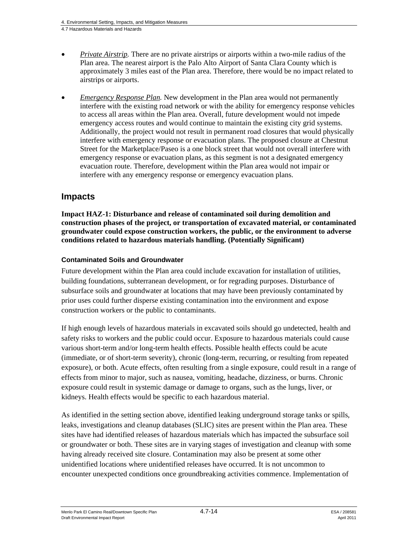- *Private Airstrip.* There are no private airstrips or airports within a two-mile radius of the Plan area. The nearest airport is the Palo Alto Airport of Santa Clara County which is approximately 3 miles east of the Plan area. Therefore, there would be no impact related to airstrips or airports.
- *Emergency Response Plan.* New development in the Plan area would not permanently interfere with the existing road network or with the ability for emergency response vehicles to access all areas within the Plan area. Overall, future development would not impede emergency access routes and would continue to maintain the existing city grid systems. Additionally, the project would not result in permanent road closures that would physically interfere with emergency response or evacuation plans. The proposed closure at Chestnut Street for the Marketplace/Paseo is a one block street that would not overall interfere with emergency response or evacuation plans, as this segment is not a designated emergency evacuation route. Therefore, development within the Plan area would not impair or interfere with any emergency response or emergency evacuation plans.

## **Impacts**

**Impact HAZ-1: Disturbance and release of contaminated soil during demolition and construction phases of the project, or transportation of excavated material, or contaminated groundwater could expose construction workers, the public, or the environment to adverse conditions related to hazardous materials handling. (Potentially Significant)** 

#### **Contaminated Soils and Groundwater**

Future development within the Plan area could include excavation for installation of utilities, building foundations, subterranean development, or for regrading purposes. Disturbance of subsurface soils and groundwater at locations that may have been previously contaminated by prior uses could further disperse existing contamination into the environment and expose construction workers or the public to contaminants.

If high enough levels of hazardous materials in excavated soils should go undetected, health and safety risks to workers and the public could occur. Exposure to hazardous materials could cause various short-term and/or long-term health effects. Possible health effects could be acute (immediate, or of short-term severity), chronic (long-term, recurring, or resulting from repeated exposure), or both. Acute effects, often resulting from a single exposure, could result in a range of effects from minor to major, such as nausea, vomiting, headache, dizziness, or burns. Chronic exposure could result in systemic damage or damage to organs, such as the lungs, liver, or kidneys. Health effects would be specific to each hazardous material.

As identified in the setting section above, identified leaking underground storage tanks or spills, leaks, investigations and cleanup databases (SLIC) sites are present within the Plan area. These sites have had identified releases of hazardous materials which has impacted the subsurface soil or groundwater or both. These sites are in varying stages of investigation and cleanup with some having already received site closure. Contamination may also be present at some other unidentified locations where unidentified releases have occurred. It is not uncommon to encounter unexpected conditions once groundbreaking activities commence. Implementation of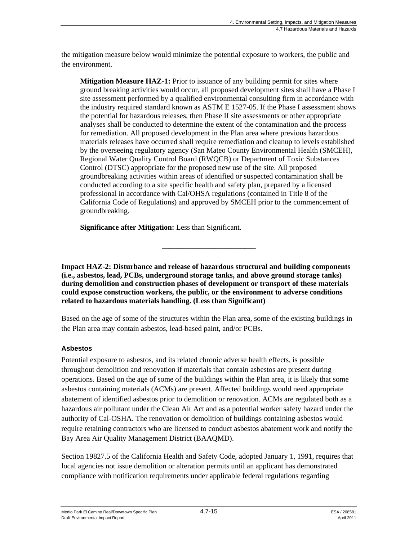the mitigation measure below would minimize the potential exposure to workers, the public and the environment.

**Mitigation Measure HAZ-1:** Prior to issuance of any building permit for sites where ground breaking activities would occur, all proposed development sites shall have a Phase I site assessment performed by a qualified environmental consulting firm in accordance with the industry required standard known as ASTM E 1527-05. If the Phase I assessment shows the potential for hazardous releases, then Phase II site assessments or other appropriate analyses shall be conducted to determine the extent of the contamination and the process for remediation. All proposed development in the Plan area where previous hazardous materials releases have occurred shall require remediation and cleanup to levels established by the overseeing regulatory agency (San Mateo County Environmental Health (SMCEH), Regional Water Quality Control Board (RWQCB) or Department of Toxic Substances Control (DTSC) appropriate for the proposed new use of the site. All proposed groundbreaking activities within areas of identified or suspected contamination shall be conducted according to a site specific health and safety plan, prepared by a licensed professional in accordance with Cal/OHSA regulations (contained in Title 8 of the California Code of Regulations) and approved by SMCEH prior to the commencement of groundbreaking.

**Significance after Mitigation:** Less than Significant.

**Impact HAZ-2: Disturbance and release of hazardous structural and building components (i.e., asbestos, lead, PCBs, underground storage tanks, and above ground storage tanks) during demolition and construction phases of development or transport of these materials could expose construction workers, the public, or the environment to adverse conditions related to hazardous materials handling. (Less than Significant)** 

\_\_\_\_\_\_\_\_\_\_\_\_\_\_\_\_\_\_\_\_\_\_\_\_\_

Based on the age of some of the structures within the Plan area, some of the existing buildings in the Plan area may contain asbestos, lead-based paint, and/or PCBs.

#### **Asbestos**

Potential exposure to asbestos, and its related chronic adverse health effects, is possible throughout demolition and renovation if materials that contain asbestos are present during operations. Based on the age of some of the buildings within the Plan area, it is likely that some asbestos containing materials (ACMs) are present. Affected buildings would need appropriate abatement of identified asbestos prior to demolition or renovation. ACMs are regulated both as a hazardous air pollutant under the Clean Air Act and as a potential worker safety hazard under the authority of Cal-OSHA. The renovation or demolition of buildings containing asbestos would require retaining contractors who are licensed to conduct asbestos abatement work and notify the Bay Area Air Quality Management District (BAAQMD).

Section 19827.5 of the California Health and Safety Code, adopted January 1, 1991, requires that local agencies not issue demolition or alteration permits until an applicant has demonstrated compliance with notification requirements under applicable federal regulations regarding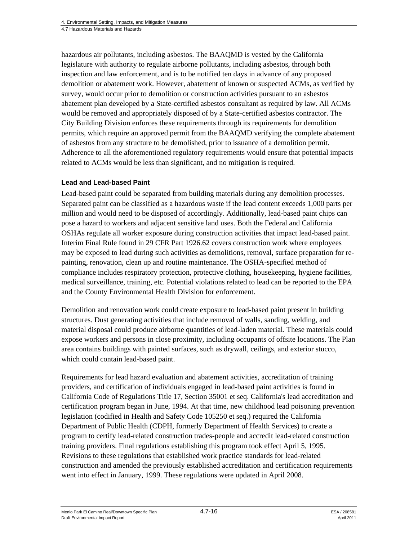hazardous air pollutants, including asbestos. The BAAQMD is vested by the California legislature with authority to regulate airborne pollutants, including asbestos, through both inspection and law enforcement, and is to be notified ten days in advance of any proposed demolition or abatement work. However, abatement of known or suspected ACMs, as verified by survey, would occur prior to demolition or construction activities pursuant to an asbestos abatement plan developed by a State-certified asbestos consultant as required by law. All ACMs would be removed and appropriately disposed of by a State-certified asbestos contractor. The City Building Division enforces these requirements through its requirements for demolition permits, which require an approved permit from the BAAQMD verifying the complete abatement of asbestos from any structure to be demolished, prior to issuance of a demolition permit. Adherence to all the aforementioned regulatory requirements would ensure that potential impacts related to ACMs would be less than significant, and no mitigation is required.

#### **Lead and Lead-based Paint**

Lead-based paint could be separated from building materials during any demolition processes. Separated paint can be classified as a hazardous waste if the lead content exceeds 1,000 parts per million and would need to be disposed of accordingly. Additionally, lead-based paint chips can pose a hazard to workers and adjacent sensitive land uses. Both the Federal and California OSHAs regulate all worker exposure during construction activities that impact lead-based paint. Interim Final Rule found in 29 CFR Part 1926.62 covers construction work where employees may be exposed to lead during such activities as demolitions, removal, surface preparation for repainting, renovation, clean up and routine maintenance. The OSHA-specified method of compliance includes respiratory protection, protective clothing, housekeeping, hygiene facilities, medical surveillance, training, etc. Potential violations related to lead can be reported to the EPA and the County Environmental Health Division for enforcement.

Demolition and renovation work could create exposure to lead-based paint present in building structures. Dust generating activities that include removal of walls, sanding, welding, and material disposal could produce airborne quantities of lead-laden material. These materials could expose workers and persons in close proximity, including occupants of offsite locations. The Plan area contains buildings with painted surfaces, such as drywall, ceilings, and exterior stucco, which could contain lead-based paint.

Requirements for lead hazard evaluation and abatement activities, accreditation of training providers, and certification of individuals engaged in lead-based paint activities is found in California Code of Regulations Title 17, Section 35001 et seq. California's lead accreditation and certification program began in June, 1994. At that time, new childhood lead poisoning prevention legislation (codified in Health and Safety Code 105250 et seq.) required the California Department of Public Health (CDPH, formerly Department of Health Services) to create a program to certify lead-related construction trades-people and accredit lead-related construction training providers. Final regulations establishing this program took effect April 5, 1995. Revisions to these regulations that established work practice standards for lead-related construction and amended the previously established accreditation and certification requirements went into effect in January, 1999. These regulations were updated in April 2008.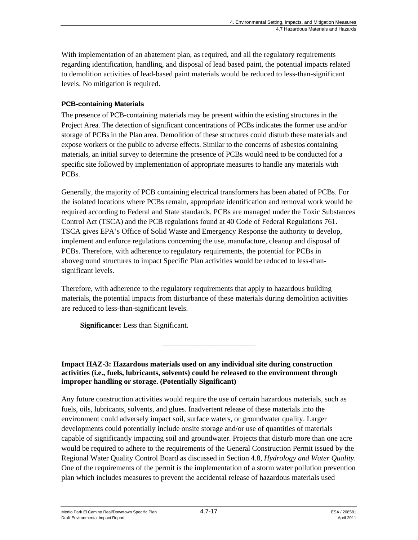With implementation of an abatement plan, as required, and all the regulatory requirements regarding identification, handling, and disposal of lead based paint, the potential impacts related to demolition activities of lead-based paint materials would be reduced to less-than-significant levels. No mitigation is required.

#### **PCB-containing Materials**

The presence of PCB-containing materials may be present within the existing structures in the Project Area. The detection of significant concentrations of PCBs indicates the former use and/or storage of PCBs in the Plan area. Demolition of these structures could disturb these materials and expose workers or the public to adverse effects. Similar to the concerns of asbestos containing materials, an initial survey to determine the presence of PCBs would need to be conducted for a specific site followed by implementation of appropriate measures to handle any materials with PCBs.

Generally, the majority of PCB containing electrical transformers has been abated of PCBs. For the isolated locations where PCBs remain, appropriate identification and removal work would be required according to Federal and State standards. PCBs are managed under the Toxic Substances Control Act (TSCA) and the PCB regulations found at 40 Code of Federal Regulations 761. TSCA gives EPA's Office of Solid Waste and Emergency Response the authority to develop, implement and enforce regulations concerning the use, manufacture, cleanup and disposal of PCBs. Therefore, with adherence to regulatory requirements, the potential for PCBs in aboveground structures to impact Specific Plan activities would be reduced to less-thansignificant levels.

Therefore, with adherence to the regulatory requirements that apply to hazardous building materials, the potential impacts from disturbance of these materials during demolition activities are reduced to less-than-significant levels.

\_\_\_\_\_\_\_\_\_\_\_\_\_\_\_\_\_\_\_\_\_\_\_\_\_

**Significance:** Less than Significant.

**Impact HAZ-3: Hazardous materials used on any individual site during construction activities (i.e., fuels, lubricants, solvents) could be released to the environment through improper handling or storage. (Potentially Significant)** 

Any future construction activities would require the use of certain hazardous materials, such as fuels, oils, lubricants, solvents, and glues. Inadvertent release of these materials into the environment could adversely impact soil, surface waters, or groundwater quality. Larger developments could potentially include onsite storage and/or use of quantities of materials capable of significantly impacting soil and groundwater. Projects that disturb more than one acre would be required to adhere to the requirements of the General Construction Permit issued by the Regional Water Quality Control Board as discussed in Section 4.8, *Hydrology and Water Quality*. One of the requirements of the permit is the implementation of a storm water pollution prevention plan which includes measures to prevent the accidental release of hazardous materials used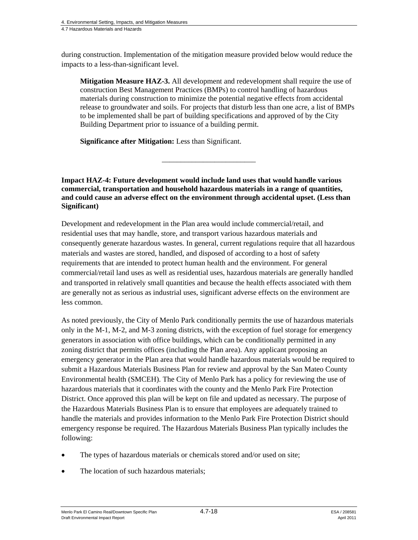during construction. Implementation of the mitigation measure provided below would reduce the impacts to a less-than-significant level.

**Mitigation Measure HAZ-3.** All development and redevelopment shall require the use of construction Best Management Practices (BMPs) to control handling of hazardous materials during construction to minimize the potential negative effects from accidental release to groundwater and soils. For projects that disturb less than one acre, a list of BMPs to be implemented shall be part of building specifications and approved of by the City Building Department prior to issuance of a building permit.

**Significance after Mitigation:** Less than Significant.

**Impact HAZ-4: Future development would include land uses that would handle various commercial, transportation and household hazardous materials in a range of quantities, and could cause an adverse effect on the environment through accidental upset. (Less than Significant)** 

\_\_\_\_\_\_\_\_\_\_\_\_\_\_\_\_\_\_\_\_\_\_\_\_\_

Development and redevelopment in the Plan area would include commercial/retail, and residential uses that may handle, store, and transport various hazardous materials and consequently generate hazardous wastes. In general, current regulations require that all hazardous materials and wastes are stored, handled, and disposed of according to a host of safety requirements that are intended to protect human health and the environment. For general commercial/retail land uses as well as residential uses, hazardous materials are generally handled and transported in relatively small quantities and because the health effects associated with them are generally not as serious as industrial uses, significant adverse effects on the environment are less common.

As noted previously, the City of Menlo Park conditionally permits the use of hazardous materials only in the M-1, M-2, and M-3 zoning districts, with the exception of fuel storage for emergency generators in association with office buildings, which can be conditionally permitted in any zoning district that permits offices (including the Plan area). Any applicant proposing an emergency generator in the Plan area that would handle hazardous materials would be required to submit a Hazardous Materials Business Plan for review and approval by the San Mateo County Environmental health (SMCEH). The City of Menlo Park has a policy for reviewing the use of hazardous materials that it coordinates with the county and the Menlo Park Fire Protection District. Once approved this plan will be kept on file and updated as necessary. The purpose of the Hazardous Materials Business Plan is to ensure that employees are adequately trained to handle the materials and provides information to the Menlo Park Fire Protection District should emergency response be required. The Hazardous Materials Business Plan typically includes the following:

- The types of hazardous materials or chemicals stored and/or used on site;
- The location of such hazardous materials;